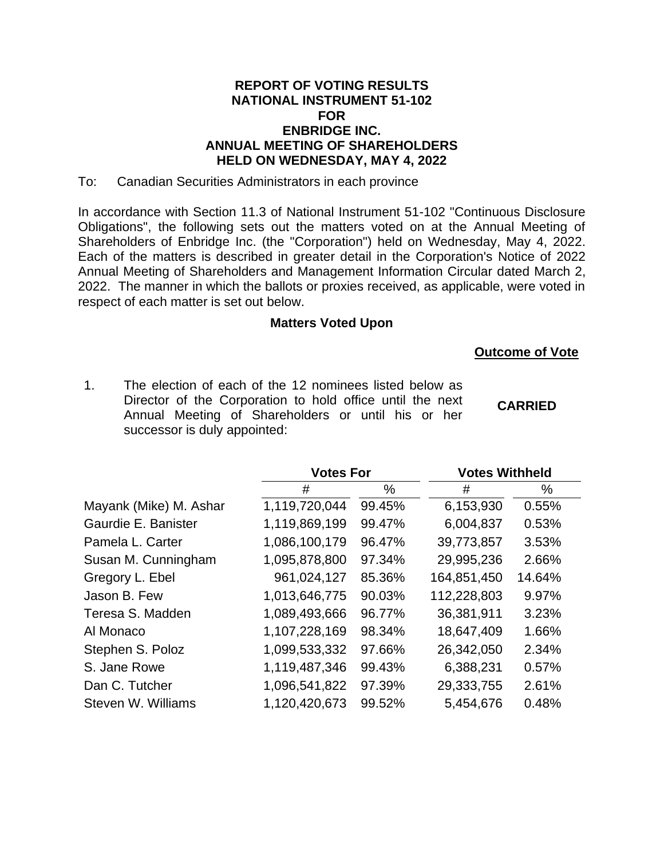## **REPORT OF VOTING RESULTS NATIONAL INSTRUMENT 51-102 FOR ENBRIDGE INC. ANNUAL MEETING OF SHAREHOLDERS HELD ON WEDNESDAY, MAY 4, 2022**

To: Canadian Securities Administrators in each province

In accordance with Section 11.3 of National Instrument 51-102 "Continuous Disclosure Obligations", the following sets out the matters voted on at the Annual Meeting of Shareholders of Enbridge Inc. (the "Corporation") held on Wednesday, May 4, 2022. Each of the matters is described in greater detail in the Corporation's Notice of 2022 Annual Meeting of Shareholders and Management Information Circular dated March 2, 2022. The manner in which the ballots or proxies received, as applicable, were voted in respect of each matter is set out below.

## **Matters Voted Upon**

## **Outcome of Vote**

1. The election of each of the 12 nominees listed below as Director of the Corporation to hold office until the next Annual Meeting of Shareholders or until his or her successor is duly appointed: **CARRIED**

|                        | <b>Votes For</b> |        | <b>Votes Withheld</b> |        |  |
|------------------------|------------------|--------|-----------------------|--------|--|
|                        | #                | $\%$   | #                     | $\%$   |  |
| Mayank (Mike) M. Ashar | 1,119,720,044    | 99.45% | 6,153,930             | 0.55%  |  |
| Gaurdie E. Banister    | 1,119,869,199    | 99.47% | 6,004,837             | 0.53%  |  |
| Pamela L. Carter       | 1,086,100,179    | 96.47% | 39,773,857            | 3.53%  |  |
| Susan M. Cunningham    | 1,095,878,800    | 97.34% | 29,995,236            | 2.66%  |  |
| Gregory L. Ebel        | 961,024,127      | 85.36% | 164,851,450           | 14.64% |  |
| Jason B. Few           | 1,013,646,775    | 90.03% | 112,228,803           | 9.97%  |  |
| Teresa S. Madden       | 1,089,493,666    | 96.77% | 36,381,911            | 3.23%  |  |
| Al Monaco              | 1,107,228,169    | 98.34% | 18,647,409            | 1.66%  |  |
| Stephen S. Poloz       | 1,099,533,332    | 97.66% | 26,342,050            | 2.34%  |  |
| S. Jane Rowe           | 1,119,487,346    | 99.43% | 6,388,231             | 0.57%  |  |
| Dan C. Tutcher         | 1,096,541,822    | 97.39% | 29,333,755            | 2.61%  |  |
| Steven W. Williams     | 1,120,420,673    | 99.52% | 5,454,676             | 0.48%  |  |